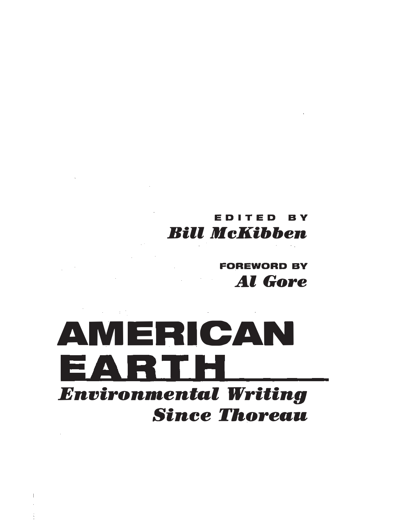### EDITED B Y **Bill McKibben**

**FOREWORD BY Al Gore** 

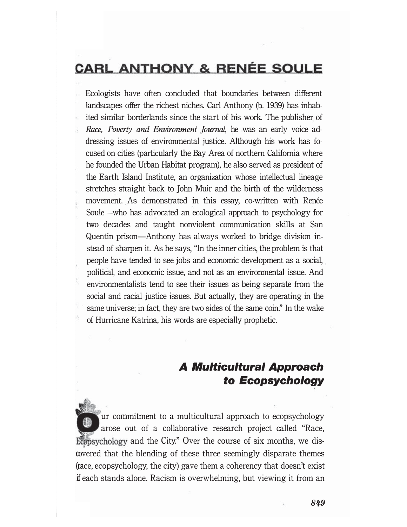# **CARL ANTHONY & RENÉE SOULE**

Ecologists have often concluded that boundaries between different landscapes offer the richest niches. Carl Anthony (b. 1939) has inhabited similar borderlands since the start of his work. The publisher of Race, Poverty and Environment Journal, he was an early voice addressing issues of environmental justice. Although his work has focused on cities (particularly the Bay Area of northern California where he founded the Urban Habitat program), he also served as president of the Earth Island Institute, an organization whose intellectual lineage stretches straight back to John Muir and the birth of the wilderness movement. As demonstrated in this essay, co-written with Renée Soule—who has advocated an ecological approach to psychology for two decades and taught nonviolent communication skills at San Quentin prison—Anthony has always worked to bridge division instead of sharpen it. As he says, "In the inner cities, the problem is that people have tended to see jobs and economic development as a social, political, and economic issue, and not as an environmental issue. And environmentalists tend to see their issues as being separate from the social and racial justice issues. But actually, they are operating in the same universe; in fact, they are two sides of the same coin." In the wake of Hurricane Katrina, his words are especially prophetic.

## **A Multicultural Approach** to Ecopsychology

ur commitment to a multicultural approach to ecopsychology arose out of a collaborative research project called "Race, Ecopsychology and the City." Over the course of six months, we discovered that the blending of these three seemingly disparate themes (race, ecopsychology, the city) gave them a coherency that doesn't exist if each stands alone. Racism is overwhelming, but viewing it from an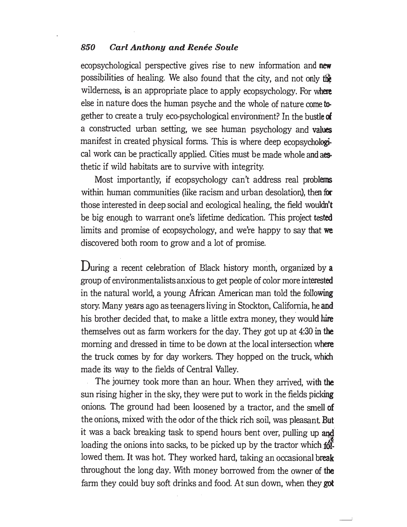#### 850 **Carl Anthony and Renée Soule**

ecopsychological perspective gives rise to new information and new possibilities of healing. We also found that the city, and not only the wilderness, is an appropriate place to apply ecopsychology. For where else in nature does the human psyche and the whole of nature come to gether to create a truly eco-psychological environment? In the bustle of a constructed urban setting, we see human psychology and values manifest in created physical forms. This is where deep ecopsychological work can be practically applied. Cities must be made whole and a thetic if wild habitats are to survive with integrity.

Most importantly, if ecopsychology can't address real problems within human communities (like racism and urban desolation), then for those interested in deep social and ecological healing, the field wouldn't be big enough to warrant one's lifetime dedication. This project tested limits and promise of ecopsychology, and we're happy to say that we discovered both room to grow and a lot of promise.

During a recent celebration of Black history month, organized by a group of environmentalists anxious to get people of color more interested in the natural world, a young African American man told the following story. Many years ago as teenagers living in Stockton, California, he and his brother decided that, to make a little extra money, they would hime themselves out as farm workers for the day. They got up at 4:30 in the morning and dressed in time to be down at the local intersection where the truck comes by for day workers. They hopped on the truck, which made its way to the fields of Central Valley.

The journey took more than an hour. When they arrived, with the sun rising higher in the sky, they were put to work in the fields picking onions. The ground had been loosened by a tractor, and the smell of the onions, mixed with the odor of the thick rich soil, was pleasant **But** it was a back breaking task to spend hours bent over, pulling up and loading the onions into sacks, to be picked up by the tractor which forlowed them. It was hot. They worked hard, taking an occasional break throughout the long day. With money borrowed from the owner of the farm they could buy soft drinks and food. At sun down, when they got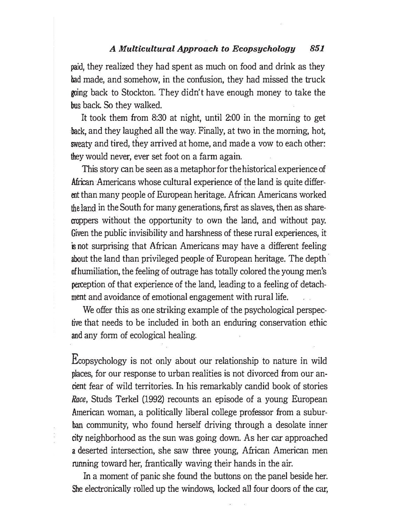#### 851 A Multicultural Approach to Ecopsychology

paid, they realized they had spent as much on food and drink as they and made, and somehow, in the confusion, they had missed the truck going back to Stockton. They didn't have enough money to take the bus back. So they walked.

It took them from 8:30 at night, until 2:00 in the morning to get back, and they laughed all the way. Finally, at two in the morning, hot, sweaty and tired, they arrived at home, and made a vow to each other: they would never, ever set foot on a farm again.

This story can be seen as a metaphor for the historical experience of African Americans whose cultural experience of the land is quite different than many people of European heritage. African Americans worked the land in the South for many generations, first as slaves, then as sharecoppers without the opportunity to own the land, and without pay. Given the public invisibility and harshness of these rural experiences, it is not surprising that African Americans may have a different feeling about the land than privileged people of European heritage. The depth of humiliation, the feeling of outrage has totally colored the young men's perception of that experience of the land, leading to a feeling of detachment and avoidance of emotional engagement with rural life.

We offer this as one striking example of the psychological perspective that needs to be included in both an enduring conservation ethic and any form of ecological healing.

Econsychology is not only about our relationship to nature in wild places, for our response to urban realities is not divorced from our ancient fear of wild territories. In his remarkably candid book of stories *Race*, Studs Terkel (1992) recounts an episode of a young European American woman, a politically liberal college professor from a suburban community, who found herself driving through a desolate inner city neighborhood as the sun was going down. As her car approached a deserted intersection, she saw three young, African American men running toward her, frantically waving their hands in the air.

In a moment of panic she found the buttons on the panel beside her. She electronically rolled up the windows, locked all four doors of the car,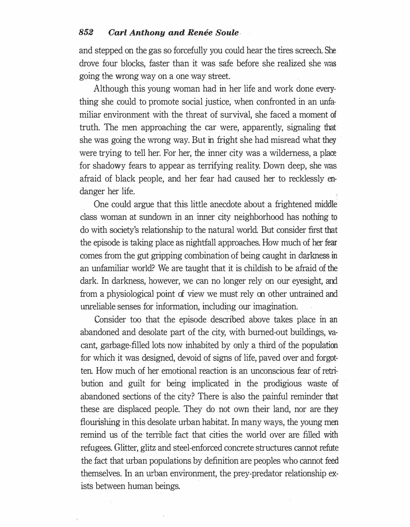#### 852 **Carl Anthony and Renée Soule**

and stepped on the gas so forcefully you could hear the tires screech. She drove four blocks, faster than it was safe before she realized she was going the wrong way on a one way street.

Although this young woman had in her life and work done everything she could to promote social justice, when confronted in an unfamiliar environment with the threat of survival, she faced a moment of truth. The men approaching the car were, apparently, signaling that she was going the wrong way. But in fright she had misread what they were trying to tell her. For her, the inner city was a wilderness, a place for shadowy fears to appear as terrifying reality. Down deep, she was afraid of black people, and her fear had caused her to recklessly endanger her life.

One could argue that this little anecdote about a frightened middle class woman at sundown in an inner city neighborhood has nothing to do with society's relationship to the natural world. But consider first that the episode is taking place as nightfall approaches. How much of her fear comes from the gut gripping combination of being caught in darkness in an unfamiliar world? We are taught that it is childish to be afraid of the dark. In darkness, however, we can no longer rely on our eyesight, and from a physiological point of view we must rely on other untrained and unreliable senses for information, including our imagination.

Consider too that the episode described above takes place in an abandoned and desolate part of the city, with burned-out buildings, vacant, garbage-filled lots now inhabited by only a third of the population for which it was designed, devoid of signs of life, paved over and forgotten. How much of her emotional reaction is an unconscious fear of retribution and guilt for being implicated in the prodigious waste of abandoned sections of the city? There is also the painful reminder that these are displaced people. They do not own their land, nor are they flourishing in this desolate urban habitat. In many ways, the young men remind us of the terrible fact that cities the world over are filled with refugees. Glitter, glitz and steel-enforced concrete structures cannot refute the fact that urban populations by definition are peoples who cannot feed themselves. In an urban environment, the prey-predator relationship exists between human beings.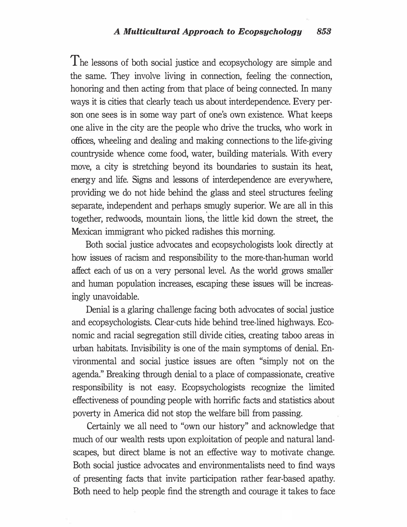The lessons of both social justice and ecopsychology are simple and the same. They involve living in connection, feeling the connection, honoring and then acting from that place of being connected. In many ways it is cities that clearly teach us about interdependence. Every person one sees is in some way part of one's own existence. What keeps one alive in the city are the people who drive the trucks, who work in offices, wheeling and dealing and making connections to the life-giving countryside whence come food, water, building materials. With every move, a city is stretching beyond its boundaries to sustain its heat, energy and life. Signs and lessons of interdependence are everywhere, providing we do not hide behind the glass and steel structures feeling separate, independent and perhaps smugly superior. We are all in this together, redwoods, mountain lions, the little kid down the street, the Mexican immigrant who picked radishes this morning.

Both social justice advocates and ecopsychologists look directly at how issues of racism and responsibility to the more-than-human world affect each of us on a very personal level. As the world grows smaller and human population increases, escaping these issues will be increasingly unavoidable.

Denial is a glaring challenge facing both advocates of social justice and ecopsychologists. Clear-cuts hide behind tree-lined highways. Economic and racial segregation still divide cities, creating taboo areas in urban habitats. Invisibility is one of the main symptoms of denial. Environmental and social justice issues are often "simply not on the agenda." Breaking through denial to a place of compassionate, creative responsibility is not easy. Ecopsychologists recognize the limited effectiveness of pounding people with horrific facts and statistics about poverty in America did not stop the welfare bill from passing.

Certainly we all need to "own our history" and acknowledge that much of our wealth rests upon exploitation of people and natural landscapes, but direct blame is not an effective way to motivate change. Both social justice advocates and environmentalists need to find ways of presenting facts that invite participation rather fear-based apathy. Both need to help people find the strength and courage it takes to face